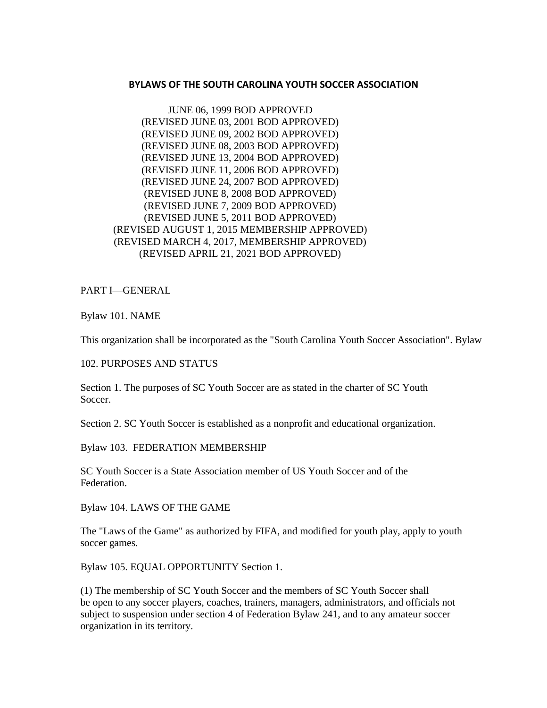### **BYLAWS OF THE SOUTH CAROLINA YOUTH SOCCER ASSOCIATION**

JUNE 06, 1999 BOD APPROVED (REVISED JUNE 03, 2001 BOD APPROVED) (REVISED JUNE 09, 2002 BOD APPROVED) (REVISED JUNE 08, 2003 BOD APPROVED) (REVISED JUNE 13, 2004 BOD APPROVED) (REVISED JUNE 11, 2006 BOD APPROVED) (REVISED JUNE 24, 2007 BOD APPROVED) (REVISED JUNE 8, 2008 BOD APPROVED) (REVISED JUNE 7, 2009 BOD APPROVED) (REVISED JUNE 5, 2011 BOD APPROVED) (REVISED AUGUST 1, 2015 MEMBERSHIP APPROVED) (REVISED MARCH 4, 2017, MEMBERSHIP APPROVED) (REVISED APRIL 21, 2021 BOD APPROVED)

PART I—GENERAL

Bylaw 101. NAME

This organization shall be incorporated as the "South Carolina Youth Soccer Association". Bylaw

#### 102. PURPOSES AND STATUS

Section 1. The purposes of SC Youth Soccer are as stated in the charter of SC Youth Soccer.

Section 2. SC Youth Soccer is established as a nonprofit and educational organization.

Bylaw 103. FEDERATION MEMBERSHIP

SC Youth Soccer is a State Association member of US Youth Soccer and of the Federation.

Bylaw 104. LAWS OF THE GAME

The "Laws of the Game" as authorized by FIFA, and modified for youth play, apply to youth soccer games.

Bylaw 105. EQUAL OPPORTUNITY Section 1.

(1) The membership of SC Youth Soccer and the members of SC Youth Soccer shall be open to any soccer players, coaches, trainers, managers, administrators, and officials not subject to suspension under section 4 of Federation Bylaw 241, and to any amateur soccer organization in its territory.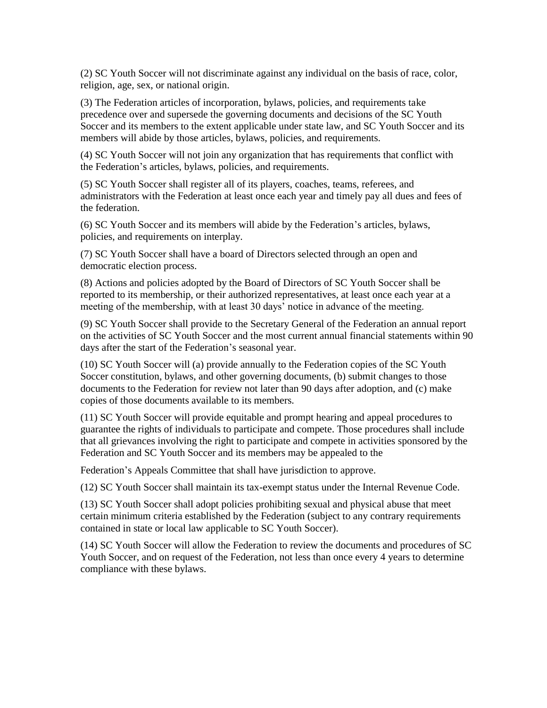(2) SC Youth Soccer will not discriminate against any individual on the basis of race, color, religion, age, sex, or national origin.

(3) The Federation articles of incorporation, bylaws, policies, and requirements take precedence over and supersede the governing documents and decisions of the SC Youth Soccer and its members to the extent applicable under state law, and SC Youth Soccer and its members will abide by those articles, bylaws, policies, and requirements.

(4) SC Youth Soccer will not join any organization that has requirements that conflict with the Federation's articles, bylaws, policies, and requirements.

(5) SC Youth Soccer shall register all of its players, coaches, teams, referees, and administrators with the Federation at least once each year and timely pay all dues and fees of the federation.

(6) SC Youth Soccer and its members will abide by the Federation's articles, bylaws, policies, and requirements on interplay.

(7) SC Youth Soccer shall have a board of Directors selected through an open and democratic election process.

(8) Actions and policies adopted by the Board of Directors of SC Youth Soccer shall be reported to its membership, or their authorized representatives, at least once each year at a meeting of the membership, with at least 30 days' notice in advance of the meeting.

(9) SC Youth Soccer shall provide to the Secretary General of the Federation an annual report on the activities of SC Youth Soccer and the most current annual financial statements within 90 days after the start of the Federation's seasonal year.

(10) SC Youth Soccer will (a) provide annually to the Federation copies of the SC Youth Soccer constitution, bylaws, and other governing documents, (b) submit changes to those documents to the Federation for review not later than 90 days after adoption, and (c) make copies of those documents available to its members.

(11) SC Youth Soccer will provide equitable and prompt hearing and appeal procedures to guarantee the rights of individuals to participate and compete. Those procedures shall include that all grievances involving the right to participate and compete in activities sponsored by the Federation and SC Youth Soccer and its members may be appealed to the

Federation's Appeals Committee that shall have jurisdiction to approve.

(12) SC Youth Soccer shall maintain its tax-exempt status under the Internal Revenue Code.

(13) SC Youth Soccer shall adopt policies prohibiting sexual and physical abuse that meet certain minimum criteria established by the Federation (subject to any contrary requirements contained in state or local law applicable to SC Youth Soccer).

(14) SC Youth Soccer will allow the Federation to review the documents and procedures of SC Youth Soccer, and on request of the Federation, not less than once every 4 years to determine compliance with these bylaws.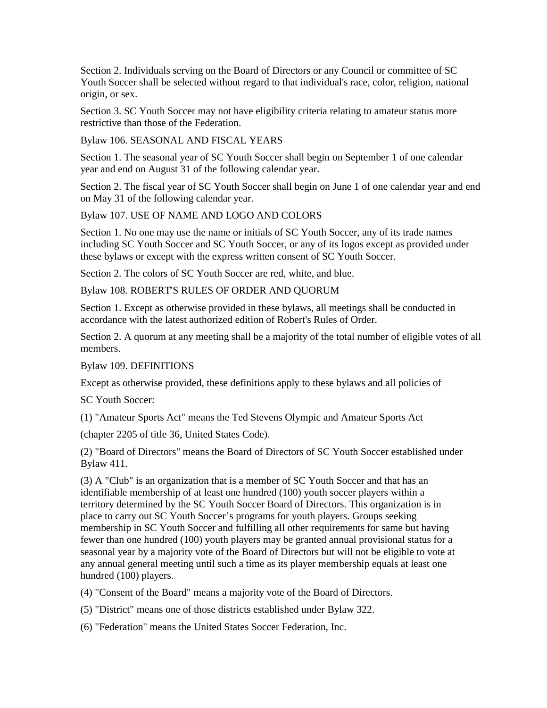Section 2. Individuals serving on the Board of Directors or any Council or committee of SC Youth Soccer shall be selected without regard to that individual's race, color, religion, national origin, or sex.

Section 3. SC Youth Soccer may not have eligibility criteria relating to amateur status more restrictive than those of the Federation.

Bylaw 106. SEASONAL AND FISCAL YEARS

Section 1. The seasonal year of SC Youth Soccer shall begin on September 1 of one calendar year and end on August 31 of the following calendar year.

Section 2. The fiscal year of SC Youth Soccer shall begin on June 1 of one calendar year and end on May 31 of the following calendar year.

Bylaw 107. USE OF NAME AND LOGO AND COLORS

Section 1. No one may use the name or initials of SC Youth Soccer, any of its trade names including SC Youth Soccer and SC Youth Soccer, or any of its logos except as provided under these bylaws or except with the express written consent of SC Youth Soccer.

Section 2. The colors of SC Youth Soccer are red, white, and blue.

Bylaw 108. ROBERT'S RULES OF ORDER AND QUORUM

Section 1. Except as otherwise provided in these bylaws, all meetings shall be conducted in accordance with the latest authorized edition of Robert's Rules of Order.

Section 2. A quorum at any meeting shall be a majority of the total number of eligible votes of all members.

Bylaw 109. DEFINITIONS

Except as otherwise provided, these definitions apply to these bylaws and all policies of

SC Youth Soccer:

(1) "Amateur Sports Act" means the Ted Stevens Olympic and Amateur Sports Act

(chapter 2205 of title 36, United States Code).

(2) "Board of Directors" means the Board of Directors of SC Youth Soccer established under Bylaw 411.

(3) A "Club" is an organization that is a member of SC Youth Soccer and that has an identifiable membership of at least one hundred (100) youth soccer players within a territory determined by the SC Youth Soccer Board of Directors. This organization is in place to carry out SC Youth Soccer's programs for youth players. Groups seeking membership in SC Youth Soccer and fulfilling all other requirements for same but having fewer than one hundred (100) youth players may be granted annual provisional status for a seasonal year by a majority vote of the Board of Directors but will not be eligible to vote at any annual general meeting until such a time as its player membership equals at least one hundred (100) players.

(4) "Consent of the Board" means a majority vote of the Board of Directors.

(5) "District" means one of those districts established under Bylaw 322.

(6) "Federation" means the United States Soccer Federation, Inc.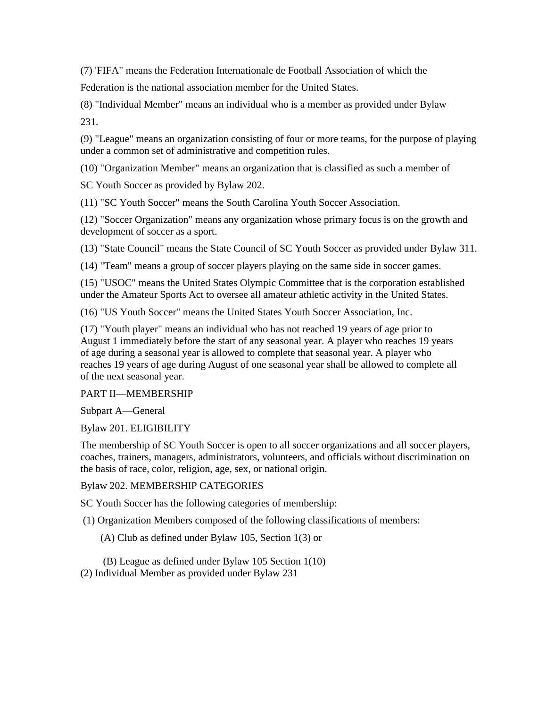(7) 'FIFA" means the Federation Internationale de Football Association of which the

Federation is the national association member for the United States.

(8) "Individual Member" means an individual who is a member as provided under Bylaw 231.

(9) "League" means an organization consisting of four or more teams, for the purpose of playing under a common set of administrative and competition rules.

(10) "Organization Member" means an organization that is classified as such a member of

SC Youth Soccer as provided by Bylaw 202.

(11) "SC Youth Soccer" means the South Carolina Youth Soccer Association.

(12) "Soccer Organization" means any organization whose primary focus is on the growth and development of soccer as a sport.

(13) "State Council" means the State Council of SC Youth Soccer as provided under Bylaw 311.

(14) "Team" means a group of soccer players playing on the same side in soccer games.

(15) "USOC" means the United States Olympic Committee that is the corporation established under the Amateur Sports Act to oversee all amateur athletic activity in the United States.

(16) "US Youth Soccer" means the United States Youth Soccer Association, Inc.

(17) "Youth player" means an individual who has not reached 19 years of age prior to August 1 immediately before the start of any seasonal year. A player who reaches 19 years of age during a seasonal year is allowed to complete that seasonal year. A player who reaches 19 years of age during August of one seasonal year shall be allowed to complete all of the next seasonal year.

# PART II—MEMBERSHIP

Subpart A—General

Bylaw 201. ELIGIBILITY

The membership of SC Youth Soccer is open to all soccer organizations and all soccer players, coaches, trainers, managers, administrators, volunteers, and officials without discrimination on the basis of race, color, religion, age, sex, or national origin.

# Bylaw 202. MEMBERSHIP CATEGORIES

SC Youth Soccer has the following categories of membership:

(1) Organization Members composed of the following classifications of members:

(A) Club as defined under Bylaw 105, Section 1(3) or

(B) League as defined under Bylaw 105 Section 1(10) (2) Individual Member as provided under Bylaw 231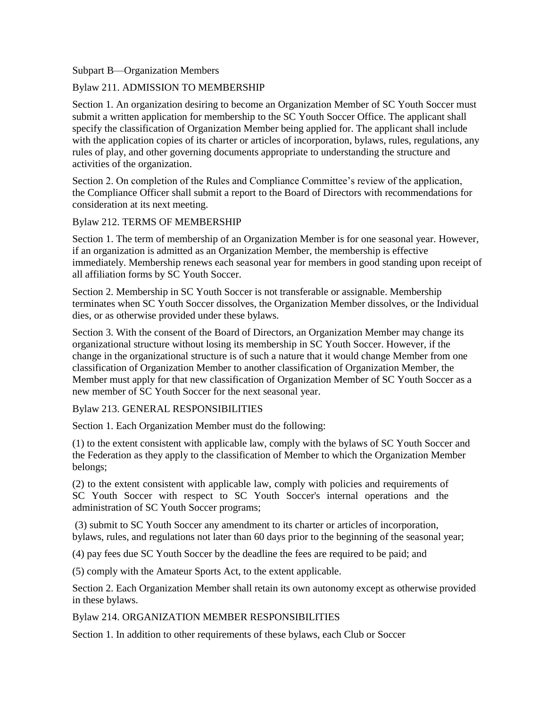## Subpart B—Organization Members

## Bylaw 211. ADMISSION TO MEMBERSHIP

Section 1. An organization desiring to become an Organization Member of SC Youth Soccer must submit a written application for membership to the SC Youth Soccer Office. The applicant shall specify the classification of Organization Member being applied for. The applicant shall include with the application copies of its charter or articles of incorporation, bylaws, rules, regulations, any rules of play, and other governing documents appropriate to understanding the structure and activities of the organization.

Section 2. On completion of the Rules and Compliance Committee's review of the application, the Compliance Officer shall submit a report to the Board of Directors with recommendations for consideration at its next meeting.

### Bylaw 212. TERMS OF MEMBERSHIP

Section 1. The term of membership of an Organization Member is for one seasonal year. However, if an organization is admitted as an Organization Member, the membership is effective immediately. Membership renews each seasonal year for members in good standing upon receipt of all affiliation forms by SC Youth Soccer.

Section 2. Membership in SC Youth Soccer is not transferable or assignable. Membership terminates when SC Youth Soccer dissolves, the Organization Member dissolves, or the Individual dies, or as otherwise provided under these bylaws.

Section 3. With the consent of the Board of Directors, an Organization Member may change its organizational structure without losing its membership in SC Youth Soccer. However, if the change in the organizational structure is of such a nature that it would change Member from one classification of Organization Member to another classification of Organization Member, the Member must apply for that new classification of Organization Member of SC Youth Soccer as a new member of SC Youth Soccer for the next seasonal year.

Bylaw 213. GENERAL RESPONSIBILITIES

Section 1. Each Organization Member must do the following:

(1) to the extent consistent with applicable law, comply with the bylaws of SC Youth Soccer and the Federation as they apply to the classification of Member to which the Organization Member belongs;

(2) to the extent consistent with applicable law, comply with policies and requirements of SC Youth Soccer with respect to SC Youth Soccer's internal operations and the administration of SC Youth Soccer programs;

(3) submit to SC Youth Soccer any amendment to its charter or articles of incorporation, bylaws, rules, and regulations not later than 60 days prior to the beginning of the seasonal year;

(4) pay fees due SC Youth Soccer by the deadline the fees are required to be paid; and

(5) comply with the Amateur Sports Act, to the extent applicable.

Section 2. Each Organization Member shall retain its own autonomy except as otherwise provided in these bylaws.

Bylaw 214. ORGANIZATION MEMBER RESPONSIBILITIES

Section 1. In addition to other requirements of these bylaws, each Club or Soccer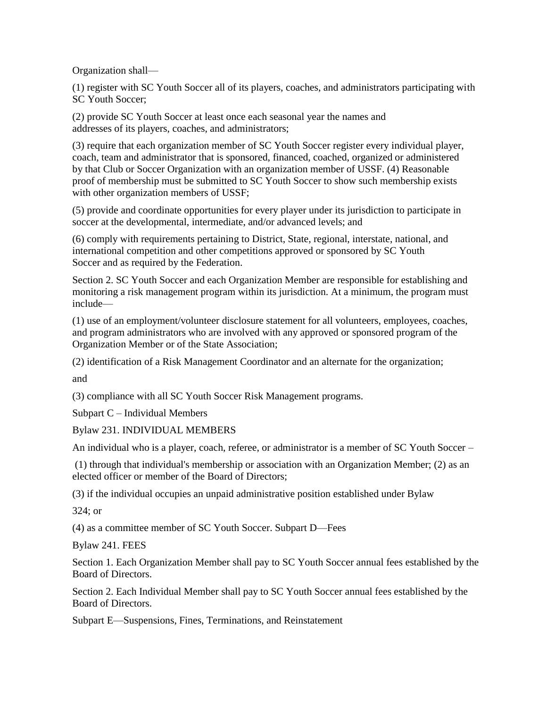Organization shall—

(1) register with SC Youth Soccer all of its players, coaches, and administrators participating with SC Youth Soccer;

(2) provide SC Youth Soccer at least once each seasonal year the names and addresses of its players, coaches, and administrators;

(3) require that each organization member of SC Youth Soccer register every individual player, coach, team and administrator that is sponsored, financed, coached, organized or administered by that Club or Soccer Organization with an organization member of USSF. (4) Reasonable proof of membership must be submitted to SC Youth Soccer to show such membership exists with other organization members of USSF;

(5) provide and coordinate opportunities for every player under its jurisdiction to participate in soccer at the developmental, intermediate, and/or advanced levels; and

(6) comply with requirements pertaining to District, State, regional, interstate, national, and international competition and other competitions approved or sponsored by SC Youth Soccer and as required by the Federation.

Section 2. SC Youth Soccer and each Organization Member are responsible for establishing and monitoring a risk management program within its jurisdiction. At a minimum, the program must include—

(1) use of an employment/volunteer disclosure statement for all volunteers, employees, coaches, and program administrators who are involved with any approved or sponsored program of the Organization Member or of the State Association;

(2) identification of a Risk Management Coordinator and an alternate for the organization;

and

(3) compliance with all SC Youth Soccer Risk Management programs.

Subpart C – Individual Members

Bylaw 231. INDIVIDUAL MEMBERS

An individual who is a player, coach, referee, or administrator is a member of SC Youth Soccer –

(1) through that individual's membership or association with an Organization Member; (2) as an elected officer or member of the Board of Directors;

(3) if the individual occupies an unpaid administrative position established under Bylaw

324; or

(4) as a committee member of SC Youth Soccer. Subpart D—Fees

Bylaw 241. FEES

Section 1. Each Organization Member shall pay to SC Youth Soccer annual fees established by the Board of Directors.

Section 2. Each Individual Member shall pay to SC Youth Soccer annual fees established by the Board of Directors.

Subpart E—Suspensions, Fines, Terminations, and Reinstatement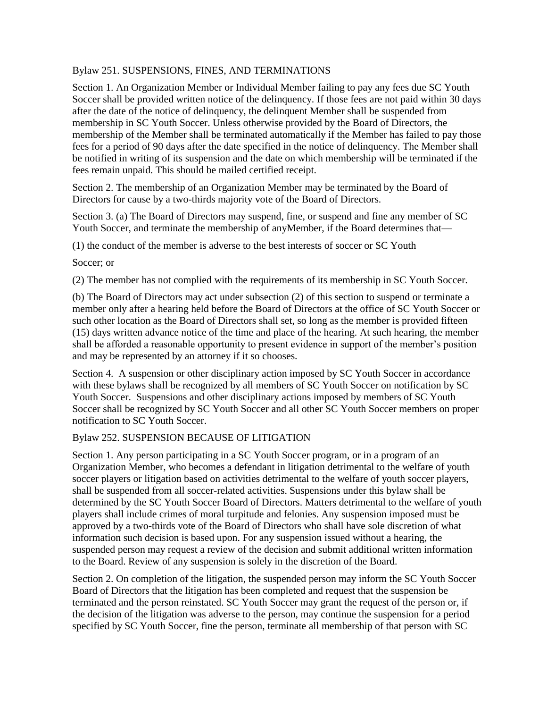## Bylaw 251. SUSPENSIONS, FINES, AND TERMINATIONS

Section 1. An Organization Member or Individual Member failing to pay any fees due SC Youth Soccer shall be provided written notice of the delinquency. If those fees are not paid within 30 days after the date of the notice of delinquency, the delinquent Member shall be suspended from membership in SC Youth Soccer. Unless otherwise provided by the Board of Directors, the membership of the Member shall be terminated automatically if the Member has failed to pay those fees for a period of 90 days after the date specified in the notice of delinquency. The Member shall be notified in writing of its suspension and the date on which membership will be terminated if the fees remain unpaid. This should be mailed certified receipt.

Section 2. The membership of an Organization Member may be terminated by the Board of Directors for cause by a two-thirds majority vote of the Board of Directors.

Section 3. (a) The Board of Directors may suspend, fine, or suspend and fine any member of SC Youth Soccer, and terminate the membership of anyMember, if the Board determines that—

(1) the conduct of the member is adverse to the best interests of soccer or SC Youth

Soccer; or

(2) The member has not complied with the requirements of its membership in SC Youth Soccer.

(b) The Board of Directors may act under subsection (2) of this section to suspend or terminate a member only after a hearing held before the Board of Directors at the office of SC Youth Soccer or such other location as the Board of Directors shall set, so long as the member is provided fifteen (15) days written advance notice of the time and place of the hearing. At such hearing, the member shall be afforded a reasonable opportunity to present evidence in support of the member's position and may be represented by an attorney if it so chooses.

Section 4. A suspension or other disciplinary action imposed by SC Youth Soccer in accordance with these bylaws shall be recognized by all members of SC Youth Soccer on notification by SC Youth Soccer. Suspensions and other disciplinary actions imposed by members of SC Youth Soccer shall be recognized by SC Youth Soccer and all other SC Youth Soccer members on proper notification to SC Youth Soccer.

# Bylaw 252. SUSPENSION BECAUSE OF LITIGATION

Section 1. Any person participating in a SC Youth Soccer program, or in a program of an Organization Member, who becomes a defendant in litigation detrimental to the welfare of youth soccer players or litigation based on activities detrimental to the welfare of youth soccer players, shall be suspended from all soccer-related activities. Suspensions under this bylaw shall be determined by the SC Youth Soccer Board of Directors. Matters detrimental to the welfare of youth players shall include crimes of moral turpitude and felonies. Any suspension imposed must be approved by a two-thirds vote of the Board of Directors who shall have sole discretion of what information such decision is based upon. For any suspension issued without a hearing, the suspended person may request a review of the decision and submit additional written information to the Board. Review of any suspension is solely in the discretion of the Board.

Section 2. On completion of the litigation, the suspended person may inform the SC Youth Soccer Board of Directors that the litigation has been completed and request that the suspension be terminated and the person reinstated. SC Youth Soccer may grant the request of the person or, if the decision of the litigation was adverse to the person, may continue the suspension for a period specified by SC Youth Soccer, fine the person, terminate all membership of that person with SC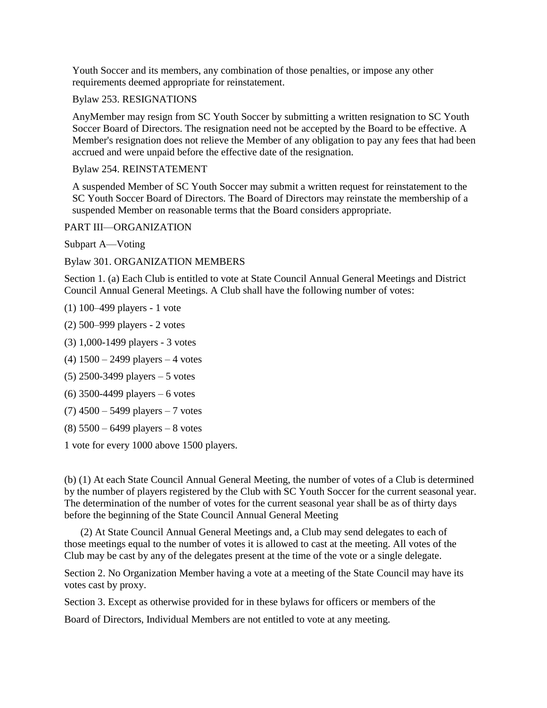Youth Soccer and its members, any combination of those penalties, or impose any other requirements deemed appropriate for reinstatement.

Bylaw 253. RESIGNATIONS

AnyMember may resign from SC Youth Soccer by submitting a written resignation to SC Youth Soccer Board of Directors. The resignation need not be accepted by the Board to be effective. A Member's resignation does not relieve the Member of any obligation to pay any fees that had been accrued and were unpaid before the effective date of the resignation.

Bylaw 254. REINSTATEMENT

A suspended Member of SC Youth Soccer may submit a written request for reinstatement to the SC Youth Soccer Board of Directors. The Board of Directors may reinstate the membership of a suspended Member on reasonable terms that the Board considers appropriate.

PART III—ORGANIZATION

Subpart A—Voting

Bylaw 301. ORGANIZATION MEMBERS

Section 1. (a) Each Club is entitled to vote at State Council Annual General Meetings and District Council Annual General Meetings. A Club shall have the following number of votes:

(1) 100–499 players - 1 vote

(2) 500–999 players - 2 votes

(3) 1,000-1499 players - 3 votes

(4) 1500 – 2499 players – 4 votes

(5) 2500-3499 players – 5 votes

(6) 3500-4499 players – 6 votes

 $(7)$  4500 – 5499 players – 7 votes

(8) 5500 – 6499 players – 8 votes

1 vote for every 1000 above 1500 players.

(b) (1) At each State Council Annual General Meeting, the number of votes of a Club is determined by the number of players registered by the Club with SC Youth Soccer for the current seasonal year. The determination of the number of votes for the current seasonal year shall be as of thirty days before the beginning of the State Council Annual General Meeting

(2) At State Council Annual General Meetings and, a Club may send delegates to each of those meetings equal to the number of votes it is allowed to cast at the meeting. All votes of the Club may be cast by any of the delegates present at the time of the vote or a single delegate.

Section 2. No Organization Member having a vote at a meeting of the State Council may have its votes cast by proxy.

Section 3. Except as otherwise provided for in these bylaws for officers or members of the

Board of Directors, Individual Members are not entitled to vote at any meeting.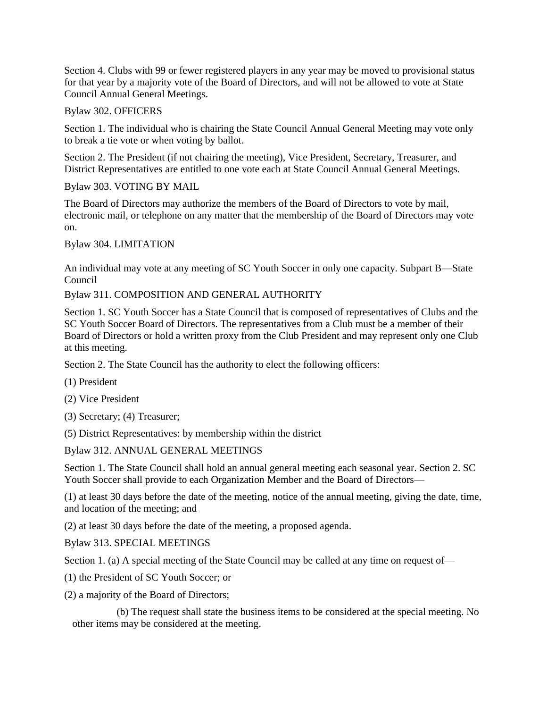Section 4. Clubs with 99 or fewer registered players in any year may be moved to provisional status for that year by a majority vote of the Board of Directors, and will not be allowed to vote at State Council Annual General Meetings.

Bylaw 302. OFFICERS

Section 1. The individual who is chairing the State Council Annual General Meeting may vote only to break a tie vote or when voting by ballot.

Section 2. The President (if not chairing the meeting), Vice President, Secretary, Treasurer, and District Representatives are entitled to one vote each at State Council Annual General Meetings.

Bylaw 303. VOTING BY MAIL

The Board of Directors may authorize the members of the Board of Directors to vote by mail, electronic mail, or telephone on any matter that the membership of the Board of Directors may vote on.

Bylaw 304. LIMITATION

An individual may vote at any meeting of SC Youth Soccer in only one capacity. Subpart B—State Council

# Bylaw 311. COMPOSITION AND GENERAL AUTHORITY

Section 1. SC Youth Soccer has a State Council that is composed of representatives of Clubs and the SC Youth Soccer Board of Directors. The representatives from a Club must be a member of their Board of Directors or hold a written proxy from the Club President and may represent only one Club at this meeting.

Section 2. The State Council has the authority to elect the following officers:

(1) President

(2) Vice President

(3) Secretary; (4) Treasurer;

(5) District Representatives: by membership within the district

Bylaw 312. ANNUAL GENERAL MEETINGS

Section 1. The State Council shall hold an annual general meeting each seasonal year. Section 2. SC Youth Soccer shall provide to each Organization Member and the Board of Directors—

(1) at least 30 days before the date of the meeting, notice of the annual meeting, giving the date, time, and location of the meeting; and

(2) at least 30 days before the date of the meeting, a proposed agenda.

Bylaw 313. SPECIAL MEETINGS

Section 1. (a) A special meeting of the State Council may be called at any time on request of—

- (1) the President of SC Youth Soccer; or
- (2) a majority of the Board of Directors;

(b) The request shall state the business items to be considered at the special meeting. No other items may be considered at the meeting.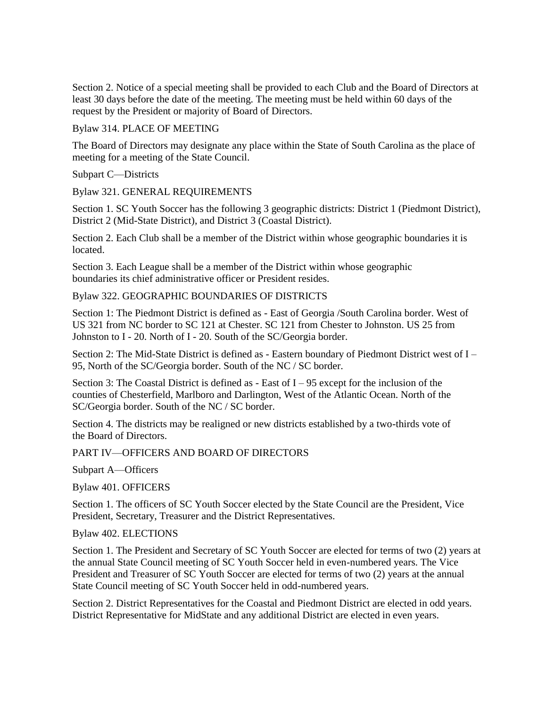Section 2. Notice of a special meeting shall be provided to each Club and the Board of Directors at least 30 days before the date of the meeting. The meeting must be held within 60 days of the request by the President or majority of Board of Directors.

### Bylaw 314. PLACE OF MEETING

The Board of Directors may designate any place within the State of South Carolina as the place of meeting for a meeting of the State Council.

Subpart C—Districts

Bylaw 321. GENERAL REQUIREMENTS

Section 1. SC Youth Soccer has the following 3 geographic districts: District 1 (Piedmont District), District 2 (Mid-State District), and District 3 (Coastal District).

Section 2. Each Club shall be a member of the District within whose geographic boundaries it is located.

Section 3. Each League shall be a member of the District within whose geographic boundaries its chief administrative officer or President resides.

# Bylaw 322. GEOGRAPHIC BOUNDARIES OF DISTRICTS

Section 1: The Piedmont District is defined as - East of Georgia /South Carolina border. West of US 321 from NC border to SC 121 at Chester. SC 121 from Chester to Johnston. US 25 from Johnston to I - 20. North of I - 20. South of the SC/Georgia border.

Section 2: The Mid-State District is defined as - Eastern boundary of Piedmont District west of I – 95, North of the SC/Georgia border. South of the NC / SC border.

Section 3: The Coastal District is defined as - East of  $I - 95$  except for the inclusion of the counties of Chesterfield, Marlboro and Darlington, West of the Atlantic Ocean. North of the SC/Georgia border. South of the NC / SC border.

Section 4. The districts may be realigned or new districts established by a two-thirds vote of the Board of Directors.

# PART IV—OFFICERS AND BOARD OF DIRECTORS

Subpart A—Officers

Bylaw 401. OFFICERS

Section 1. The officers of SC Youth Soccer elected by the State Council are the President, Vice President, Secretary, Treasurer and the District Representatives.

Bylaw 402. ELECTIONS

Section 1. The President and Secretary of SC Youth Soccer are elected for terms of two (2) years at the annual State Council meeting of SC Youth Soccer held in even-numbered years. The Vice President and Treasurer of SC Youth Soccer are elected for terms of two (2) years at the annual State Council meeting of SC Youth Soccer held in odd-numbered years.

Section 2. District Representatives for the Coastal and Piedmont District are elected in odd years. District Representative for MidState and any additional District are elected in even years.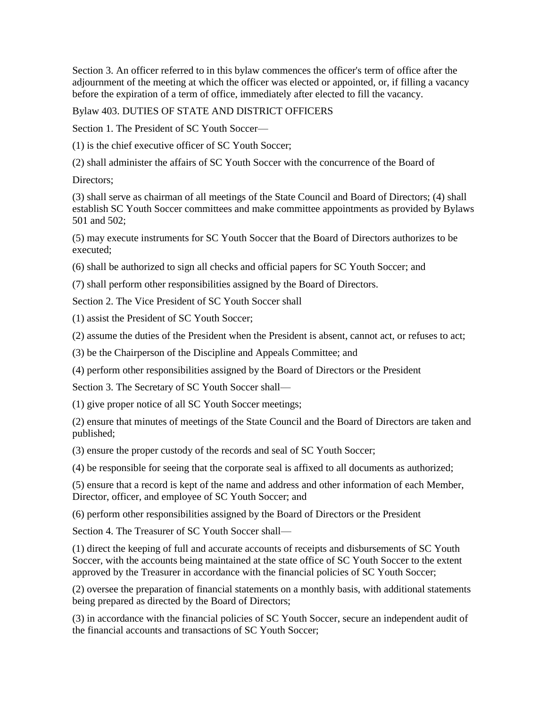Section 3. An officer referred to in this bylaw commences the officer's term of office after the adjournment of the meeting at which the officer was elected or appointed, or, if filling a vacancy before the expiration of a term of office, immediately after elected to fill the vacancy.

Bylaw 403. DUTIES OF STATE AND DISTRICT OFFICERS

Section 1. The President of SC Youth Soccer—

(1) is the chief executive officer of SC Youth Soccer;

(2) shall administer the affairs of SC Youth Soccer with the concurrence of the Board of

Directors;

(3) shall serve as chairman of all meetings of the State Council and Board of Directors; (4) shall establish SC Youth Soccer committees and make committee appointments as provided by Bylaws 501 and 502;

(5) may execute instruments for SC Youth Soccer that the Board of Directors authorizes to be executed;

(6) shall be authorized to sign all checks and official papers for SC Youth Soccer; and

(7) shall perform other responsibilities assigned by the Board of Directors.

Section 2. The Vice President of SC Youth Soccer shall

(1) assist the President of SC Youth Soccer;

(2) assume the duties of the President when the President is absent, cannot act, or refuses to act;

(3) be the Chairperson of the Discipline and Appeals Committee; and

(4) perform other responsibilities assigned by the Board of Directors or the President

Section 3. The Secretary of SC Youth Soccer shall—

(1) give proper notice of all SC Youth Soccer meetings;

(2) ensure that minutes of meetings of the State Council and the Board of Directors are taken and published;

(3) ensure the proper custody of the records and seal of SC Youth Soccer;

(4) be responsible for seeing that the corporate seal is affixed to all documents as authorized;

(5) ensure that a record is kept of the name and address and other information of each Member, Director, officer, and employee of SC Youth Soccer; and

(6) perform other responsibilities assigned by the Board of Directors or the President

Section 4. The Treasurer of SC Youth Soccer shall—

(1) direct the keeping of full and accurate accounts of receipts and disbursements of SC Youth Soccer, with the accounts being maintained at the state office of SC Youth Soccer to the extent approved by the Treasurer in accordance with the financial policies of SC Youth Soccer;

(2) oversee the preparation of financial statements on a monthly basis, with additional statements being prepared as directed by the Board of Directors;

(3) in accordance with the financial policies of SC Youth Soccer, secure an independent audit of the financial accounts and transactions of SC Youth Soccer;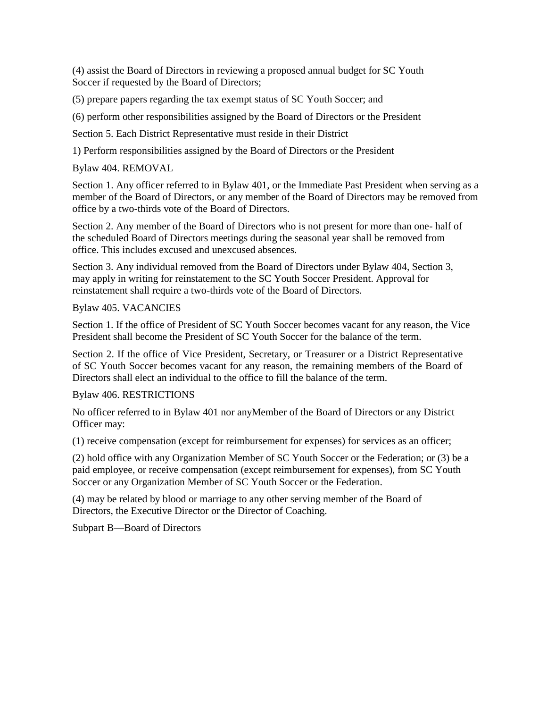(4) assist the Board of Directors in reviewing a proposed annual budget for SC Youth Soccer if requested by the Board of Directors;

(5) prepare papers regarding the tax exempt status of SC Youth Soccer; and

(6) perform other responsibilities assigned by the Board of Directors or the President

Section 5. Each District Representative must reside in their District

1) Perform responsibilities assigned by the Board of Directors or the President

Bylaw 404. REMOVAL

Section 1. Any officer referred to in Bylaw 401, or the Immediate Past President when serving as a member of the Board of Directors, or any member of the Board of Directors may be removed from office by a two-thirds vote of the Board of Directors.

Section 2. Any member of the Board of Directors who is not present for more than one- half of the scheduled Board of Directors meetings during the seasonal year shall be removed from office. This includes excused and unexcused absences.

Section 3. Any individual removed from the Board of Directors under Bylaw 404, Section 3, may apply in writing for reinstatement to the SC Youth Soccer President. Approval for reinstatement shall require a two-thirds vote of the Board of Directors.

### Bylaw 405. VACANCIES

Section 1. If the office of President of SC Youth Soccer becomes vacant for any reason, the Vice President shall become the President of SC Youth Soccer for the balance of the term.

Section 2. If the office of Vice President, Secretary, or Treasurer or a District Representative of SC Youth Soccer becomes vacant for any reason, the remaining members of the Board of Directors shall elect an individual to the office to fill the balance of the term.

### Bylaw 406. RESTRICTIONS

No officer referred to in Bylaw 401 nor anyMember of the Board of Directors or any District Officer may:

(1) receive compensation (except for reimbursement for expenses) for services as an officer;

(2) hold office with any Organization Member of SC Youth Soccer or the Federation; or (3) be a paid employee, or receive compensation (except reimbursement for expenses), from SC Youth Soccer or any Organization Member of SC Youth Soccer or the Federation.

(4) may be related by blood or marriage to any other serving member of the Board of Directors, the Executive Director or the Director of Coaching.

Subpart B—Board of Directors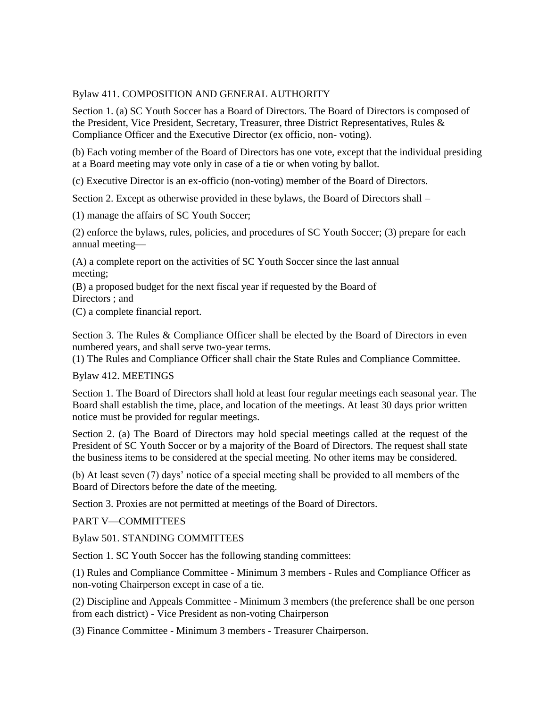## Bylaw 411. COMPOSITION AND GENERAL AUTHORITY

Section 1. (a) SC Youth Soccer has a Board of Directors. The Board of Directors is composed of the President, Vice President, Secretary, Treasurer, three District Representatives, Rules & Compliance Officer and the Executive Director (ex officio, non- voting).

(b) Each voting member of the Board of Directors has one vote, except that the individual presiding at a Board meeting may vote only in case of a tie or when voting by ballot.

(c) Executive Director is an ex-officio (non-voting) member of the Board of Directors.

Section 2. Except as otherwise provided in these bylaws, the Board of Directors shall –

(1) manage the affairs of SC Youth Soccer;

(2) enforce the bylaws, rules, policies, and procedures of SC Youth Soccer; (3) prepare for each annual meeting—

(A) a complete report on the activities of SC Youth Soccer since the last annual meeting;

(B) a proposed budget for the next fiscal year if requested by the Board of Directors ; and

(C) a complete financial report.

Section 3. The Rules & Compliance Officer shall be elected by the Board of Directors in even numbered years, and shall serve two-year terms.

(1) The Rules and Compliance Officer shall chair the State Rules and Compliance Committee.

Bylaw 412. MEETINGS

Section 1. The Board of Directors shall hold at least four regular meetings each seasonal year. The Board shall establish the time, place, and location of the meetings. At least 30 days prior written notice must be provided for regular meetings.

Section 2. (a) The Board of Directors may hold special meetings called at the request of the President of SC Youth Soccer or by a majority of the Board of Directors. The request shall state the business items to be considered at the special meeting. No other items may be considered.

(b) At least seven (7) days' notice of a special meeting shall be provided to all members of the Board of Directors before the date of the meeting.

Section 3. Proxies are not permitted at meetings of the Board of Directors.

PART V—COMMITTEES

Bylaw 501. STANDING COMMITTEES

Section 1. SC Youth Soccer has the following standing committees:

(1) Rules and Compliance Committee - Minimum 3 members - Rules and Compliance Officer as non-voting Chairperson except in case of a tie.

(2) Discipline and Appeals Committee - Minimum 3 members (the preference shall be one person from each district) - Vice President as non-voting Chairperson

(3) Finance Committee - Minimum 3 members - Treasurer Chairperson.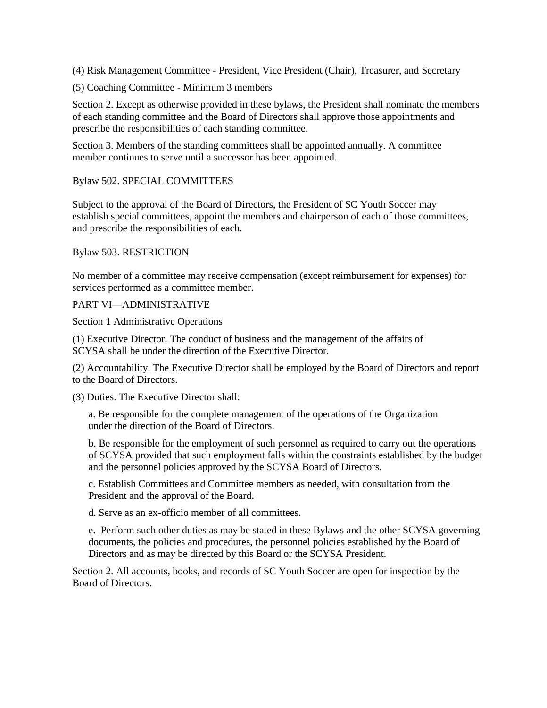(4) Risk Management Committee - President, Vice President (Chair), Treasurer, and Secretary

(5) Coaching Committee - Minimum 3 members

Section 2. Except as otherwise provided in these bylaws, the President shall nominate the members of each standing committee and the Board of Directors shall approve those appointments and prescribe the responsibilities of each standing committee.

Section 3. Members of the standing committees shall be appointed annually. A committee member continues to serve until a successor has been appointed.

## Bylaw 502. SPECIAL COMMITTEES

Subject to the approval of the Board of Directors, the President of SC Youth Soccer may establish special committees, appoint the members and chairperson of each of those committees, and prescribe the responsibilities of each.

## Bylaw 503. RESTRICTION

No member of a committee may receive compensation (except reimbursement for expenses) for services performed as a committee member.

## PART VI—ADMINISTRATIVE

Section 1 Administrative Operations

(1) Executive Director. The conduct of business and the management of the affairs of SCYSA shall be under the direction of the Executive Director.

(2) Accountability. The Executive Director shall be employed by the Board of Directors and report to the Board of Directors.

(3) Duties. The Executive Director shall:

a. Be responsible for the complete management of the operations of the Organization under the direction of the Board of Directors.

b. Be responsible for the employment of such personnel as required to carry out the operations of SCYSA provided that such employment falls within the constraints established by the budget and the personnel policies approved by the SCYSA Board of Directors.

c. Establish Committees and Committee members as needed, with consultation from the President and the approval of the Board.

d. Serve as an ex-officio member of all committees.

e. Perform such other duties as may be stated in these Bylaws and the other SCYSA governing documents, the policies and procedures, the personnel policies established by the Board of Directors and as may be directed by this Board or the SCYSA President.

Section 2. All accounts, books, and records of SC Youth Soccer are open for inspection by the Board of Directors.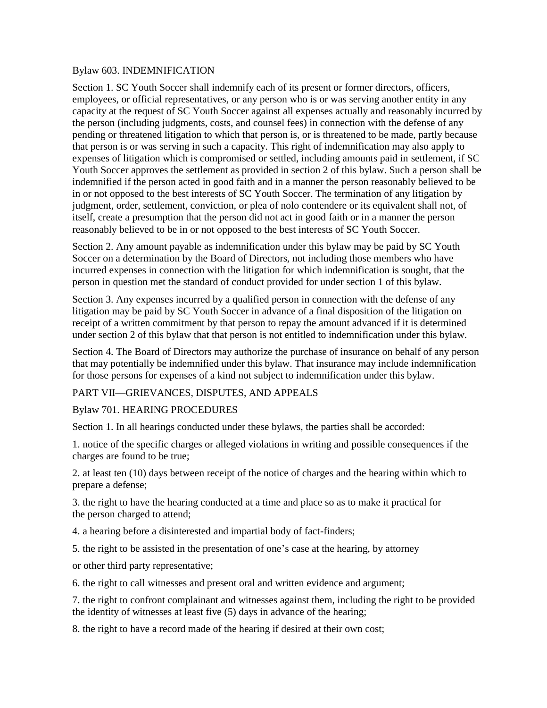### Bylaw 603. INDEMNIFICATION

Section 1. SC Youth Soccer shall indemnify each of its present or former directors, officers, employees, or official representatives, or any person who is or was serving another entity in any capacity at the request of SC Youth Soccer against all expenses actually and reasonably incurred by the person (including judgments, costs, and counsel fees) in connection with the defense of any pending or threatened litigation to which that person is, or is threatened to be made, partly because that person is or was serving in such a capacity. This right of indemnification may also apply to expenses of litigation which is compromised or settled, including amounts paid in settlement, if SC Youth Soccer approves the settlement as provided in section 2 of this bylaw. Such a person shall be indemnified if the person acted in good faith and in a manner the person reasonably believed to be in or not opposed to the best interests of SC Youth Soccer. The termination of any litigation by judgment, order, settlement, conviction, or plea of nolo contendere or its equivalent shall not, of itself, create a presumption that the person did not act in good faith or in a manner the person reasonably believed to be in or not opposed to the best interests of SC Youth Soccer.

Section 2. Any amount payable as indemnification under this bylaw may be paid by SC Youth Soccer on a determination by the Board of Directors, not including those members who have incurred expenses in connection with the litigation for which indemnification is sought, that the person in question met the standard of conduct provided for under section 1 of this bylaw.

Section 3. Any expenses incurred by a qualified person in connection with the defense of any litigation may be paid by SC Youth Soccer in advance of a final disposition of the litigation on receipt of a written commitment by that person to repay the amount advanced if it is determined under section 2 of this bylaw that that person is not entitled to indemnification under this bylaw.

Section 4. The Board of Directors may authorize the purchase of insurance on behalf of any person that may potentially be indemnified under this bylaw. That insurance may include indemnification for those persons for expenses of a kind not subject to indemnification under this bylaw.

### PART VII—GRIEVANCES, DISPUTES, AND APPEALS

### Bylaw 701. HEARING PROCEDURES

Section 1. In all hearings conducted under these bylaws, the parties shall be accorded:

1. notice of the specific charges or alleged violations in writing and possible consequences if the charges are found to be true;

2. at least ten (10) days between receipt of the notice of charges and the hearing within which to prepare a defense;

3. the right to have the hearing conducted at a time and place so as to make it practical for the person charged to attend;

4. a hearing before a disinterested and impartial body of fact-finders;

5. the right to be assisted in the presentation of one's case at the hearing, by attorney

or other third party representative;

6. the right to call witnesses and present oral and written evidence and argument;

7. the right to confront complainant and witnesses against them, including the right to be provided the identity of witnesses at least five (5) days in advance of the hearing;

8. the right to have a record made of the hearing if desired at their own cost;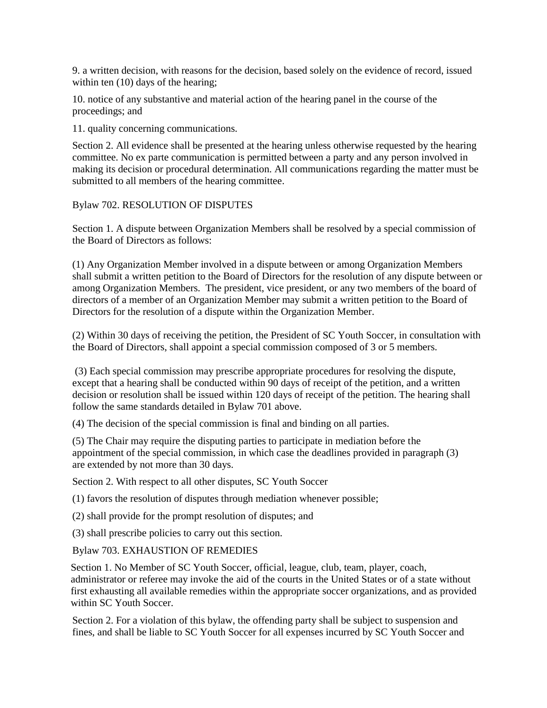9. a written decision, with reasons for the decision, based solely on the evidence of record, issued within ten  $(10)$  days of the hearing;

10. notice of any substantive and material action of the hearing panel in the course of the proceedings; and

11. quality concerning communications.

Section 2. All evidence shall be presented at the hearing unless otherwise requested by the hearing committee. No ex parte communication is permitted between a party and any person involved in making its decision or procedural determination. All communications regarding the matter must be submitted to all members of the hearing committee.

Bylaw 702. RESOLUTION OF DISPUTES

Section 1. A dispute between Organization Members shall be resolved by a special commission of the Board of Directors as follows:

(1) Any Organization Member involved in a dispute between or among Organization Members shall submit a written petition to the Board of Directors for the resolution of any dispute between or among Organization Members. The president, vice president, or any two members of the board of directors of a member of an Organization Member may submit a written petition to the Board of Directors for the resolution of a dispute within the Organization Member.

(2) Within 30 days of receiving the petition, the President of SC Youth Soccer, in consultation with the Board of Directors, shall appoint a special commission composed of 3 or 5 members.

(3) Each special commission may prescribe appropriate procedures for resolving the dispute, except that a hearing shall be conducted within 90 days of receipt of the petition, and a written decision or resolution shall be issued within 120 days of receipt of the petition. The hearing shall follow the same standards detailed in Bylaw 701 above.

(4) The decision of the special commission is final and binding on all parties.

(5) The Chair may require the disputing parties to participate in mediation before the appointment of the special commission, in which case the deadlines provided in paragraph (3) are extended by not more than 30 days.

Section 2. With respect to all other disputes, SC Youth Soccer

(1) favors the resolution of disputes through mediation whenever possible;

(2) shall provide for the prompt resolution of disputes; and

(3) shall prescribe policies to carry out this section.

Bylaw 703. EXHAUSTION OF REMEDIES

Section 1. No Member of SC Youth Soccer, official, league, club, team, player, coach, administrator or referee may invoke the aid of the courts in the United States or of a state without first exhausting all available remedies within the appropriate soccer organizations, and as provided within SC Youth Soccer.

Section 2. For a violation of this bylaw, the offending party shall be subject to suspension and fines, and shall be liable to SC Youth Soccer for all expenses incurred by SC Youth Soccer and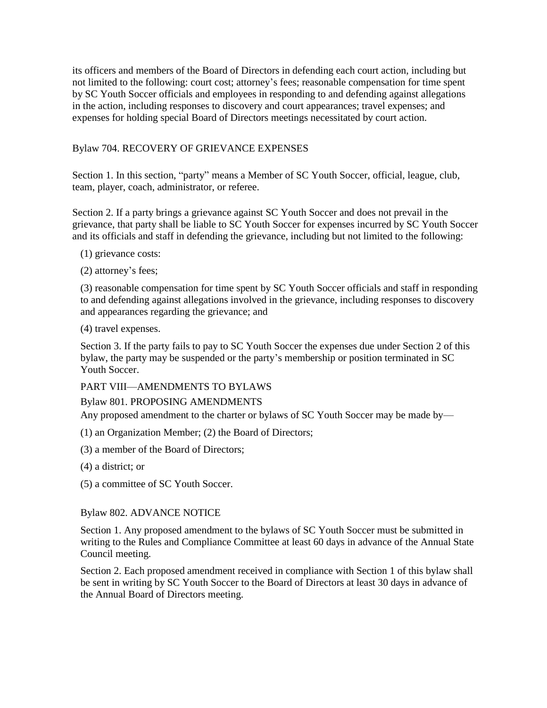its officers and members of the Board of Directors in defending each court action, including but not limited to the following: court cost; attorney's fees; reasonable compensation for time spent by SC Youth Soccer officials and employees in responding to and defending against allegations in the action, including responses to discovery and court appearances; travel expenses; and expenses for holding special Board of Directors meetings necessitated by court action.

# Bylaw 704. RECOVERY OF GRIEVANCE EXPENSES

Section 1. In this section, "party" means a Member of SC Youth Soccer, official, league, club, team, player, coach, administrator, or referee.

Section 2. If a party brings a grievance against SC Youth Soccer and does not prevail in the grievance, that party shall be liable to SC Youth Soccer for expenses incurred by SC Youth Soccer and its officials and staff in defending the grievance, including but not limited to the following:

- (1) grievance costs:
- (2) attorney's fees;

(3) reasonable compensation for time spent by SC Youth Soccer officials and staff in responding to and defending against allegations involved in the grievance, including responses to discovery and appearances regarding the grievance; and

(4) travel expenses.

Section 3. If the party fails to pay to SC Youth Soccer the expenses due under Section 2 of this bylaw, the party may be suspended or the party's membership or position terminated in SC Youth Soccer.

PART VIII—AMENDMENTS TO BYLAWS

# Bylaw 801. PROPOSING AMENDMENTS

Any proposed amendment to the charter or bylaws of SC Youth Soccer may be made by—

- (1) an Organization Member; (2) the Board of Directors;
- (3) a member of the Board of Directors;
- (4) a district; or
- (5) a committee of SC Youth Soccer.

# Bylaw 802. ADVANCE NOTICE

Section 1. Any proposed amendment to the bylaws of SC Youth Soccer must be submitted in writing to the Rules and Compliance Committee at least 60 days in advance of the Annual State Council meeting.

Section 2. Each proposed amendment received in compliance with Section 1 of this bylaw shall be sent in writing by SC Youth Soccer to the Board of Directors at least 30 days in advance of the Annual Board of Directors meeting.